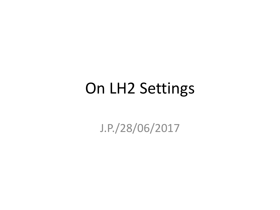### On LH2 Settings

J.P./28/06/2017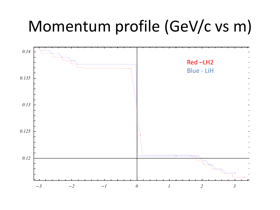### Momentum profile (GeV/c vs m)

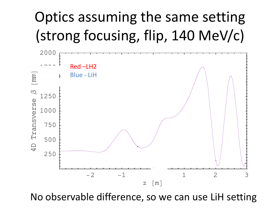## Optics assuming the same setting (strong focusing, flip, 140 MeV/c)



No observable difference, so we can use LiH setting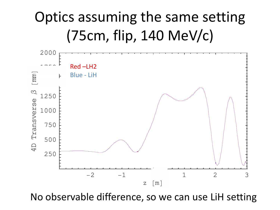### Optics assuming the same setting  $(75cm, flip, 140 MeV/c)$



No observable difference, so we can use LiH setting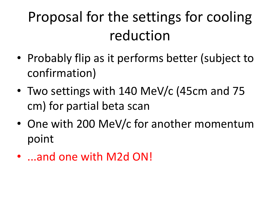# Proposal for the settings for cooling reduction

- Probably flip as it performs better (subject to confirmation)
- Two settings with 140 MeV/c (45cm and 75 cm) for partial beta scan
- One with 200 MeV/c for another momentum point
- ...and one with M2d ON!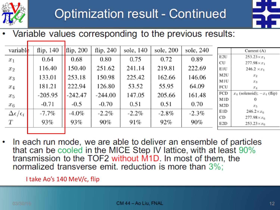



Variable values corresponding to the previous results:

| variable                       | flip, $140$ | flip, 200 | flip, $240$ | sole, 140 | sole, 200 | sole, 240 |     |                                 |
|--------------------------------|-------------|-----------|-------------|-----------|-----------|-----------|-----|---------------------------------|
|                                |             |           |             |           |           |           |     | Current $(A)$                   |
| $x_1$                          | 0.64        | 0.68      | 0.80        | 0.75      | 0.72      | 0.89      | E2U | $253.23 \times x_1$             |
|                                |             |           |             |           |           |           | CU  | $277.98 \times x_1$             |
| $x_2$                          | 116.40      | 150.40    | 251.62      | 241.14    | 219.81    | 222.69    | E1U | $246.2 \times x_1$              |
| $x_3$                          | 133.01      | 253.18    | 150.98      | 225.42    | 162.66    | 146.06    | M2U | $x_2$                           |
|                                |             |           |             |           |           |           | M1U | $x_3$                           |
| $x_4$                          | 181.21      | 222.94    | 126.80      | 53.52     | 55.95     | 64.09     | FCU | $x_4$                           |
| $x_5$                          | $-205.95$   | $-242.47$ | $-244.00$   | 147.05    | 205.66    | 161.48    | FCD | $x_4$ (solenoid); $-x_4$ (flip) |
|                                |             |           |             |           |           |           | M1D | $\Omega$                        |
| $x_6$                          | $-0.71$     | $-0.5$    | $-0.70$     | 0.51      | 0.51      | 0.70      | M2D | $x_5$                           |
| $\Delta \epsilon / \epsilon_i$ | $-7.7\%$    | $-4.0\%$  | $-2.2\%$    | $-2.2\%$  | $-2.8\%$  | $-2.3\%$  | E1D | $246.2 \times x_{6}$            |
|                                |             |           |             |           |           |           | CD  | $277.98 \times x_{6}$           |
| Т                              | 93%         | 93%       | 90%         | 91%       | 92%       | 90%       | E2D | $253.23 \times x_6$             |
|                                |             |           |             |           |           |           |     |                                 |

In each run mode, we are able to deliver an ensemble of particles that can be cooled in the MICE Step IV lattice, with at least 90% transmission to the TOF2 without M1D. In most of them, the normalized transverse emit. reduction is more than 3%;

I take Ao's 140 MeV/c, flip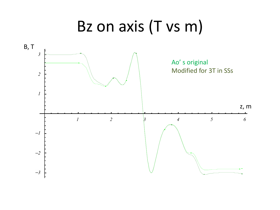### Bz on axis (T vs m)

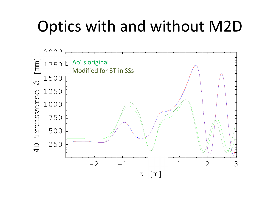## **Optics with and without M2D**